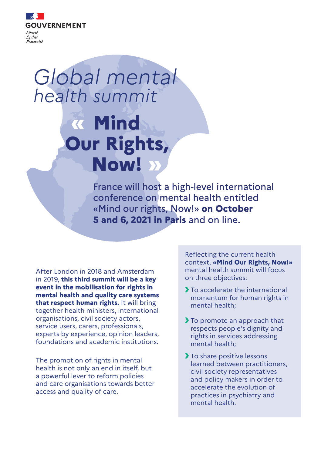

# Global mental health summit

# **Mind Our Rights, Now!**

France will host a high-level international conference on mental health entitled «Mind our rights, Now!» **on October 5 and 6, 2021 in Paris** and on line.

After London in 2018 and Amsterdam in 2019, **this third summit will be a key event in the mobilisation for rights in mental health and quality care systems that respect human rights.** It will bring together health ministers, international organisations, civil society actors, service users, carers, professionals, experts by experience, opinion leaders, foundations and academic institutions.

The promotion of rights in mental health is not only an end in itself, but a powerful lever to reform policies and care organisations towards better access and quality of care.

Reflecting the current health context, **«Mind Our Rights, Now!»** mental health summit will focus on three objectives:

- To accelerate the international momentum for human rights in mental health;
- To promote an approach that respects people's dignity and rights in services addressing mental health;
- To share positive lessons learned between practitioners, civil society representatives and policy makers in order to accelerate the evolution of practices in psychiatry and mental health.